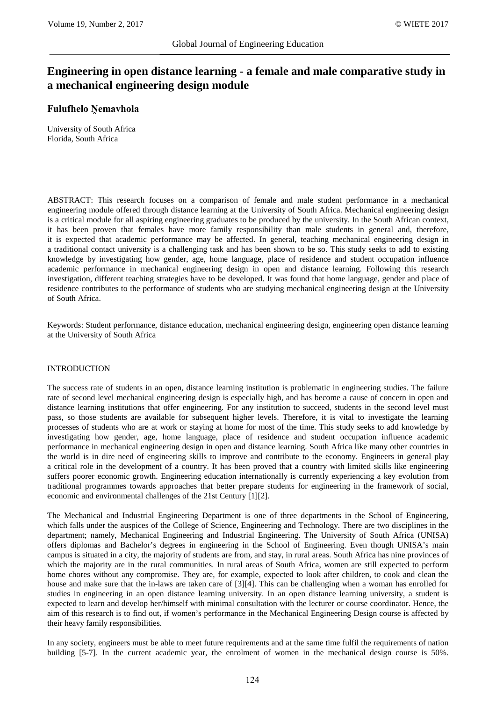# **Engineering in open distance learning - a female and male comparative study in a mechanical engineering design module**

## **Fulufhelo Ṋemavhola**

University of South Africa Florida, South Africa

ABSTRACT: This research focuses on a comparison of female and male student performance in a mechanical engineering module offered through distance learning at the University of South Africa. Mechanical engineering design is a critical module for all aspiring engineering graduates to be produced by the university. In the South African context, it has been proven that females have more family responsibility than male students in general and, therefore, it is expected that academic performance may be affected. In general, teaching mechanical engineering design in a traditional contact university is a challenging task and has been shown to be so. This study seeks to add to existing knowledge by investigating how gender, age, home language, place of residence and student occupation influence academic performance in mechanical engineering design in open and distance learning. Following this research investigation, different teaching strategies have to be developed. It was found that home language, gender and place of residence contributes to the performance of students who are studying mechanical engineering design at the University of South Africa.

Keywords: Student performance, distance education, mechanical engineering design, engineering open distance learning at the University of South Africa

### INTRODUCTION

The success rate of students in an open, distance learning institution is problematic in engineering studies. The failure rate of second level mechanical engineering design is especially high, and has become a cause of concern in open and distance learning institutions that offer engineering. For any institution to succeed, students in the second level must pass, so those students are available for subsequent higher levels. Therefore, it is vital to investigate the learning processes of students who are at work or staying at home for most of the time. This study seeks to add knowledge by investigating how gender, age, home language, place of residence and student occupation influence academic performance in mechanical engineering design in open and distance learning. South Africa like many other countries in the world is in dire need of engineering skills to improve and contribute to the economy. Engineers in general play a critical role in the development of a country. It has been proved that a country with limited skills like engineering suffers poorer economic growth. Engineering education internationally is currently experiencing a key evolution from traditional programmes towards approaches that better prepare students for engineering in the framework of social, economic and environmental challenges of the 21st Century [1][2].

The Mechanical and Industrial Engineering Department is one of three departments in the School of Engineering, which falls under the auspices of the College of Science, Engineering and Technology. There are two disciplines in the department; namely, Mechanical Engineering and Industrial Engineering. The University of South Africa (UNISA) offers diplomas and Bachelor's degrees in engineering in the School of Engineering. Even though UNISA's main campus is situated in a city, the majority of students are from, and stay, in rural areas. South Africa has nine provinces of which the majority are in the rural communities. In rural areas of South Africa, women are still expected to perform home chores without any compromise. They are, for example, expected to look after children, to cook and clean the house and make sure that the in-laws are taken care of [3][4]. This can be challenging when a woman has enrolled for studies in engineering in an open distance learning university. In an open distance learning university, a student is expected to learn and develop her/himself with minimal consultation with the lecturer or course coordinator. Hence, the aim of this research is to find out, if women's performance in the Mechanical Engineering Design course is affected by their heavy family responsibilities.

In any society, engineers must be able to meet future requirements and at the same time fulfil the requirements of nation building [5-7]. In the current academic year, the enrolment of women in the mechanical design course is 50%.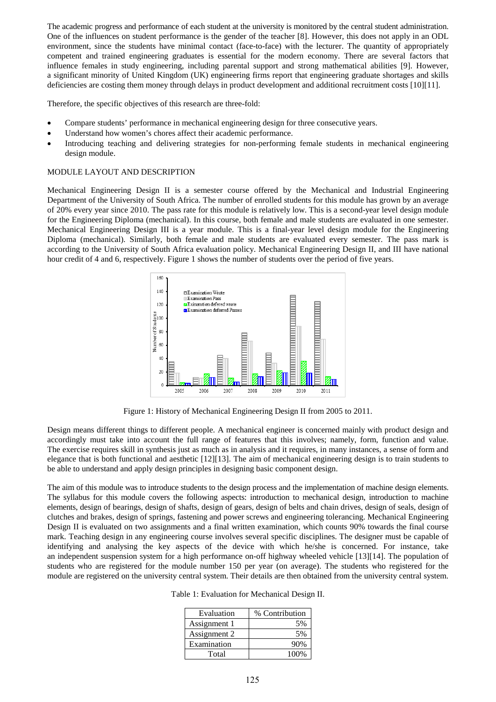The academic progress and performance of each student at the university is monitored by the central student administration. One of the influences on student performance is the gender of the teacher [8]. However, this does not apply in an ODL environment, since the students have minimal contact (face-to-face) with the lecturer. The quantity of appropriately competent and trained engineering graduates is essential for the modern economy. There are several factors that influence females in study engineering, including parental support and strong mathematical abilities [9]. However, a significant minority of United Kingdom (UK) engineering firms report that engineering graduate shortages and skills deficiencies are costing them money through delays in product development and additional recruitment costs [10][11].

Therefore, the specific objectives of this research are three-fold:

- Compare students' performance in mechanical engineering design for three consecutive years.
- Understand how women's chores affect their academic performance.
- Introducing teaching and delivering strategies for non-performing female students in mechanical engineering design module.

#### MODULE LAYOUT AND DESCRIPTION

Mechanical Engineering Design II is a semester course offered by the Mechanical and Industrial Engineering Department of the University of South Africa. The number of enrolled students for this module has grown by an average of 20% every year since 2010. The pass rate for this module is relatively low. This is a second-year level design module for the Engineering Diploma (mechanical). In this course, both female and male students are evaluated in one semester. Mechanical Engineering Design III is a year module. This is a final-year level design module for the Engineering Diploma (mechanical). Similarly, both female and male students are evaluated every semester. The pass mark is according to the University of South Africa evaluation policy. Mechanical Engineering Design II, and III have national hour credit of 4 and 6, respectively. Figure 1 shows the number of students over the period of five years.



Figure 1: History of Mechanical Engineering Design II from 2005 to 2011.

Design means different things to different people. A mechanical engineer is concerned mainly with product design and accordingly must take into account the full range of features that this involves; namely, form, function and value. The exercise requires skill in synthesis just as much as in analysis and it requires, in many instances, a sense of form and elegance that is both functional and aesthetic [12][13]. The aim of mechanical engineering design is to train students to be able to understand and apply design principles in designing basic component design.

The aim of this module was to introduce students to the design process and the implementation of machine design elements. The syllabus for this module covers the following aspects: introduction to mechanical design, introduction to machine elements, design of bearings, design of shafts, design of gears, design of belts and chain drives, design of seals, design of clutches and brakes, design of springs, fastening and power screws and engineering tolerancing. Mechanical Engineering Design II is evaluated on two assignments and a final written examination, which counts 90% towards the final course mark. Teaching design in any engineering course involves several specific disciplines. The designer must be capable of identifying and analysing the key aspects of the device with which he/she is concerned. For instance, take an independent suspension system for a high performance on-off highway wheeled vehicle [13][14]. The population of students who are registered for the module number 150 per year (on average). The students who registered for the module are registered on the university central system. Their details are then obtained from the university central system.

Table 1: Evaluation for Mechanical Design II.

| Evaluation   | % Contribution |
|--------------|----------------|
| Assignment 1 | 5%             |
| Assignment 2 | 5%             |
| Examination  | 90\%           |
| Total        | 100%           |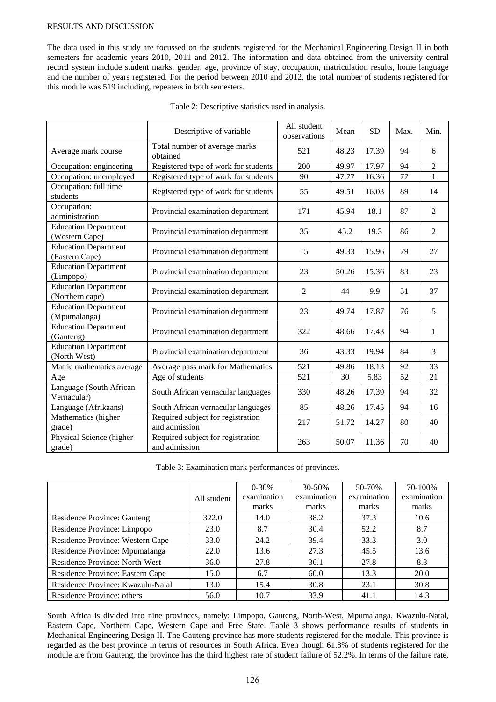#### RESULTS AND DISCUSSION

The data used in this study are focussed on the students registered for the Mechanical Engineering Design II in both semesters for academic years 2010, 2011 and 2012. The information and data obtained from the university central record system include student marks, gender, age, province of stay, occupation, matriculation results, home language and the number of years registered. For the period between 2010 and 2012, the total number of students registered for this module was 519 including, repeaters in both semesters.

|                                                | Descriptive of variable                            | All student<br>observations | Mean  | <b>SD</b> | Max. | Min.           |
|------------------------------------------------|----------------------------------------------------|-----------------------------|-------|-----------|------|----------------|
| Average mark course                            | Total number of average marks<br>obtained          | 521                         | 48.23 | 17.39     | 94   | 6              |
| Occupation: engineering                        | Registered type of work for students               | 200                         | 49.97 | 17.97     | 94   | $\overline{2}$ |
| Occupation: unemployed                         | Registered type of work for students               | 90                          | 47.77 | 16.36     | 77   | $\mathbf{1}$   |
| Occupation: full time<br>students              | Registered type of work for students               | 55                          | 49.51 | 16.03     | 89   | 14             |
| Occupation:<br>administration                  | Provincial examination department                  | 171                         | 45.94 | 18.1      | 87   | $\overline{2}$ |
| <b>Education Department</b><br>(Western Cape)  | Provincial examination department                  | 35                          | 45.2  | 19.3      | 86   | 2              |
| <b>Education Department</b><br>(Eastern Cape)  | Provincial examination department                  | 15                          | 49.33 | 15.96     | 79   | 27             |
| <b>Education Department</b><br>(Limpopo)       | Provincial examination department                  | 23                          | 50.26 | 15.36     | 83   | 23             |
| <b>Education Department</b><br>(Northern cape) | Provincial examination department                  | $\overline{2}$              | 44    | 9.9       | 51   | 37             |
| <b>Education Department</b><br>(Mpumalanga)    | Provincial examination department                  | 23                          | 49.74 | 17.87     | 76   | 5              |
| <b>Education Department</b><br>(Gauteng)       | Provincial examination department                  | 322                         | 48.66 | 17.43     | 94   | 1              |
| <b>Education Department</b><br>(North West)    | Provincial examination department                  | 36                          | 43.33 | 19.94     | 84   | 3              |
| Matric mathematics average                     | Average pass mark for Mathematics                  | 521                         | 49.86 | 18.13     | 92   | 33             |
| Age                                            | Age of students                                    | 521                         | 30    | 5.83      | 52   | 21             |
| Language (South African<br>Vernacular)         | South African vernacular languages                 | 330                         | 48.26 | 17.39     | 94   | 32             |
| Language (Afrikaans)                           | South African vernacular languages                 | 85                          | 48.26 | 17.45     | 94   | 16             |
| Mathematics (higher<br>grade)                  | Required subject for registration<br>and admission | 217                         | 51.72 | 14.27     | 80   | 40             |
| Physical Science (higher<br>grade)             | Required subject for registration<br>and admission | 263                         | 50.07 | 11.36     | 70   | 40             |

Table 3: Examination mark performances of provinces.

|                                       |             | $0 - 30%$   | $30 - 50%$  | 50-70%      | 70-100%     |
|---------------------------------------|-------------|-------------|-------------|-------------|-------------|
|                                       | All student | examination | examination | examination | examination |
|                                       |             | marks       | marks       | marks       | marks       |
| Residence Province: Gauteng           | 322.0       | 14.0        | 38.2        | 37.3        | 10.6        |
| Residence Province: Limpopo           | 23.0        | 8.7         | 30.4        | 52.2        | 8.7         |
| Residence Province: Western Cape      | 33.0        | 24.2        | 39.4        | 33.3        | 3.0         |
| Residence Province: Mpumalanga        | 22.0        | 13.6        | 27.3        | 45.5        | 13.6        |
| <b>Residence Province: North-West</b> | 36.0        | 27.8        | 36.1        | 27.8        | 8.3         |
| Residence Province: Eastern Cape      | 15.0        | 6.7         | 60.0        | 13.3        | 20.0        |
| Residence Province: Kwazulu-Natal     | 13.0        | 15.4        | 30.8        | 23.1        | 30.8        |
| Residence Province: others            | 56.0        | 10.7        | 33.9        | 41.1        | 14.3        |

South Africa is divided into nine provinces, namely: Limpopo, Gauteng, North-West, Mpumalanga, Kwazulu-Natal, Eastern Cape, Northern Cape, Western Cape and Free State. Table 3 shows performance results of students in Mechanical Engineering Design II. The Gauteng province has more students registered for the module. This province is regarded as the best province in terms of resources in South Africa. Even though 61.8% of students registered for the module are from Gauteng, the province has the third highest rate of student failure of 52.2%. In terms of the failure rate,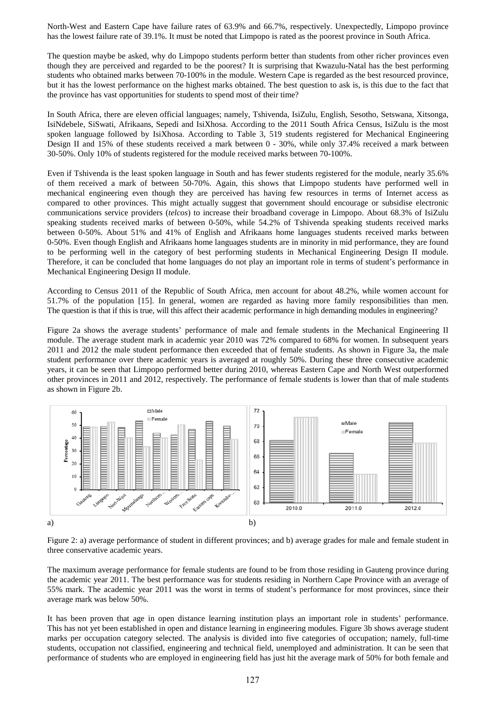North-West and Eastern Cape have failure rates of 63.9% and 66.7%, respectively. Unexpectedly, Limpopo province has the lowest failure rate of 39.1%. It must be noted that Limpopo is rated as the poorest province in South Africa.

The question maybe be asked, why do Limpopo students perform better than students from other richer provinces even though they are perceived and regarded to be the poorest? It is surprising that Kwazulu-Natal has the best performing students who obtained marks between 70-100% in the module. Western Cape is regarded as the best resourced province, but it has the lowest performance on the highest marks obtained. The best question to ask is, is this due to the fact that the province has vast opportunities for students to spend most of their time?

In South Africa, there are eleven official languages; namely, Tshivenda, IsiZulu, English, Sesotho, Setswana, Xitsonga, IsiNdebele, SiSwati, Afrikaans, Sepedi and IsiXhosa. According to the 2011 South Africa Census, IsiZulu is the most spoken language followed by IsiXhosa. According to Table 3, 519 students registered for Mechanical Engineering Design II and 15% of these students received a mark between 0 - 30%, while only 37.4% received a mark between 30-50%. Only 10% of students registered for the module received marks between 70-100%.

Even if Tshivenda is the least spoken language in South and has fewer students registered for the module, nearly 35.6% of them received a mark of between 50-70%. Again, this shows that Limpopo students have performed well in mechanical engineering even though they are perceived has having few resources in terms of Internet access as compared to other provinces. This might actually suggest that government should encourage or subsidise electronic communications service providers (*telcos*) to increase their broadband coverage in Limpopo. About 68.3% of IsiZulu speaking students received marks of between 0-50%, while 54.2% of Tshivenda speaking students received marks between 0-50%. About 51% and 41% of English and Afrikaans home languages students received marks between 0-50%. Even though English and Afrikaans home languages students are in minority in mid performance, they are found to be performing well in the category of best performing students in Mechanical Engineering Design II module. Therefore, it can be concluded that home languages do not play an important role in terms of student's performance in Mechanical Engineering Design II module.

According to Census 2011 of the Republic of South Africa, men account for about 48.2%, while women account for 51.7% of the population [15]. In general, women are regarded as having more family responsibilities than men. The question is that if this is true, will this affect their academic performance in high demanding modules in engineering?

Figure 2a shows the average students' performance of male and female students in the Mechanical Engineering II module. The average student mark in academic year 2010 was 72% compared to 68% for women. In subsequent years 2011 and 2012 the male student performance then exceeded that of female students. As shown in Figure 3a, the male student performance over there academic years is averaged at roughly 50%. During these three consecutive academic years, it can be seen that Limpopo performed better during 2010, whereas Eastern Cape and North West outperformed other provinces in 2011 and 2012, respectively. The performance of female students is lower than that of male students as shown in Figure 2b.



Figure 2: a) average performance of student in different provinces; and b) average grades for male and female student in three conservative academic years.

The maximum average performance for female students are found to be from those residing in Gauteng province during the academic year 2011. The best performance was for students residing in Northern Cape Province with an average of 55% mark. The academic year 2011 was the worst in terms of student's performance for most provinces, since their average mark was below 50%.

It has been proven that age in open distance learning institution plays an important role in students' performance. This has not yet been established in open and distance learning in engineering modules. Figure 3b shows average student marks per occupation category selected. The analysis is divided into five categories of occupation; namely, full-time students, occupation not classified, engineering and technical field, unemployed and administration. It can be seen that performance of students who are employed in engineering field has just hit the average mark of 50% for both female and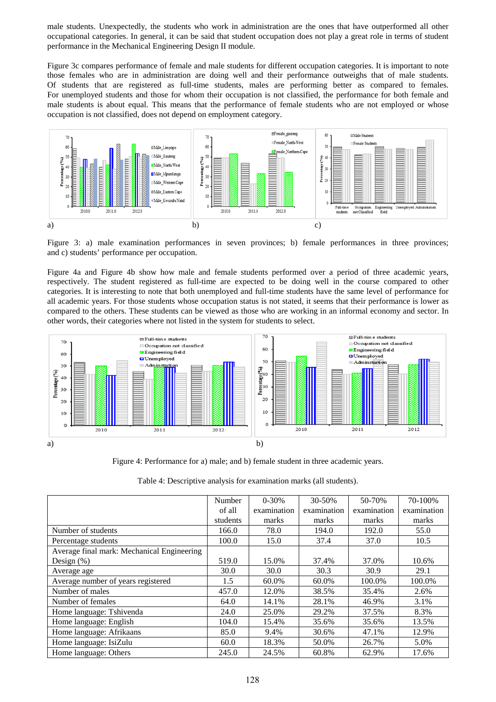male students. Unexpectedly, the students who work in administration are the ones that have outperformed all other occupational categories. In general, it can be said that student occupation does not play a great role in terms of student performance in the Mechanical Engineering Design II module.

Figure 3c compares performance of female and male students for different occupation categories. It is important to note those females who are in administration are doing well and their performance outweighs that of male students. Of students that are registered as full-time students, males are performing better as compared to females. For unemployed students and those for whom their occupation is not classified, the performance for both female and male students is about equal. This means that the performance of female students who are not employed or whose occupation is not classified, does not depend on employment category.



Figure 3: a) male examination performances in seven provinces; b) female performances in three provinces; and c) students' performance per occupation.

Figure 4a and Figure 4b show how male and female students performed over a period of three academic years, respectively. The student registered as full-time are expected to be doing well in the course compared to other categories. It is interesting to note that both unemployed and full-time students have the same level of performance for all academic years. For those students whose occupation status is not stated, it seems that their performance is lower as compared to the others. These students can be viewed as those who are working in an informal economy and sector. In other words, their categories where not listed in the system for students to select.



Figure 4: Performance for a) male; and b) female student in three academic years.

Table 4: Descriptive analysis for examination marks (all students).

|                                            | Number   | $0 - 30%$   | 30-50%      | 50-70%      | 70-100%     |
|--------------------------------------------|----------|-------------|-------------|-------------|-------------|
|                                            | of all   | examination | examination | examination | examination |
|                                            | students | marks       | marks       | marks       | marks       |
| Number of students                         | 166.0    | 78.0        | 194.0       | 192.0       | 55.0        |
| Percentage students                        | 100.0    | 15.0        | 37.4        | 37.0        | 10.5        |
| Average final mark: Mechanical Engineering |          |             |             |             |             |
| Design $(\%)$                              | 519.0    | 15.0%       | 37.4%       | 37.0%       | 10.6%       |
| Average age                                | 30.0     | 30.0        | 30.3        | 30.9        | 29.1        |
| Average number of years registered         | 1.5      | 60.0%       | 60.0%       | 100.0%      | 100.0%      |
| Number of males                            | 457.0    | 12.0%       | 38.5%       | 35.4%       | 2.6%        |
| Number of females                          | 64.0     | 14.1%       | 28.1%       | 46.9%       | 3.1%        |
| Home language: Tshivenda                   | 24.0     | 25.0%       | 29.2%       | 37.5%       | 8.3%        |
| Home language: English                     | 104.0    | 15.4%       | 35.6%       | 35.6%       | 13.5%       |
| Home language: Afrikaans                   | 85.0     | 9.4%        | 30.6%       | 47.1%       | 12.9%       |
| Home language: IsiZulu                     | 60.0     | 18.3%       | 50.0%       | 26.7%       | 5.0%        |
| Home language: Others                      | 245.0    | 24.5%       | 60.8%       | 62.9%       | 17.6%       |